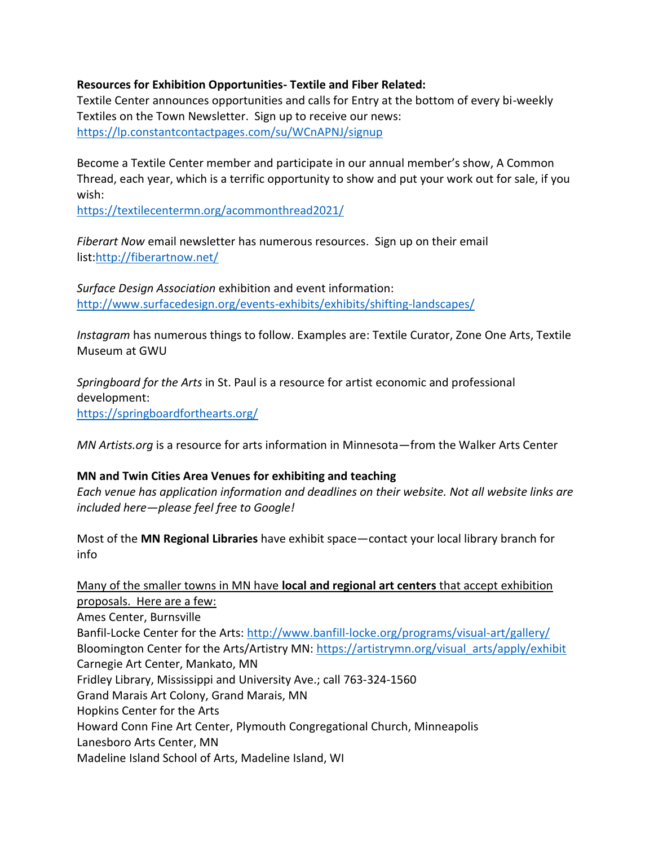## **Resources for Exhibition Opportunities- Textile and Fiber Related:**

Textile Center announces opportunities and calls for Entry at the bottom of every bi-weekly Textiles on the Town Newsletter. Sign up to receive our news: <https://lp.constantcontactpages.com/su/WCnAPNJ/signup>

Become a Textile Center member and participate in our annual member's show, A Common Thread, each year, which is a terrific opportunity to show and put your work out for sale, if you wish:

<https://textilecentermn.org/acommonthread2021/>

*Fiberart Now* email newsletter has numerous resources. Sign up on their email list[:http://fiberartnow.net/](http://fiberartnow.net/)

*Surface Design Association* exhibition and event information: <http://www.surfacedesign.org/events-exhibits/exhibits/shifting-landscapes/>

*Instagram* has numerous things to follow. Examples are: Textile Curator, Zone One Arts, Textile Museum at GWU

*Springboard for the Arts* in St. Paul is a resource for artist economic and professional development: <https://springboardforthearts.org/>

*MN Artists.org* is a resource for arts information in Minnesota—from the Walker Arts Center

## **MN and Twin Cities Area Venues for exhibiting and teaching**

*Each venue has application information and deadlines on their website. Not all website links are included here—please feel free to Google!*

Most of the **MN Regional Libraries** have exhibit space—contact your local library branch for info

Many of the smaller towns in MN have **local and regional art centers** that accept exhibition proposals. Here are a few:

Ames Center, Burnsville Banfil-Locke Center for the Arts:<http://www.banfill-locke.org/programs/visual-art/gallery/> Bloomington Center for the Arts/Artistry MN: [https://artistrymn.org/visual\\_arts/apply/exhibit](https://artistrymn.org/visual_arts/apply/exhibit) Carnegie Art Center, Mankato, MN Fridley Library, Mississippi and University Ave.; call 763-324-1560 Grand Marais Art Colony, Grand Marais, MN Hopkins Center for the Arts Howard Conn Fine Art Center, Plymouth Congregational Church, Minneapolis Lanesboro Arts Center, MN Madeline Island School of Arts, Madeline Island, WI